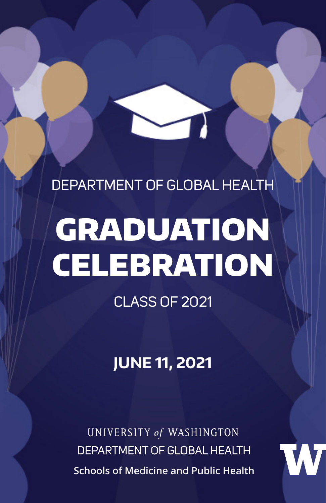DEPARTMENT OF GLOBAL HEALTH

# GRADUATION **CELEBRATION**

CLASS OF 2021

**JUNE 11, 2021**

UNIVERSITY of WASHINGTON DEPARTMENT OF GLOBAL HEALTH **Schools of Medicine and Public Health**

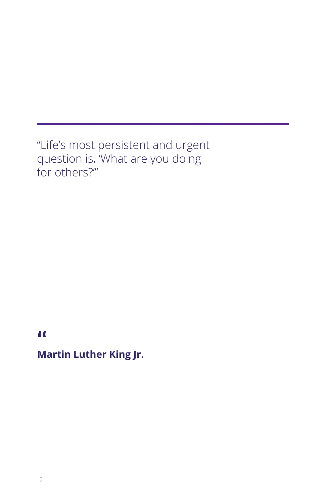"Life's most persistent and urgent question is, 'What are you doing for others?'"

**"**

**Martin Luther King Jr.**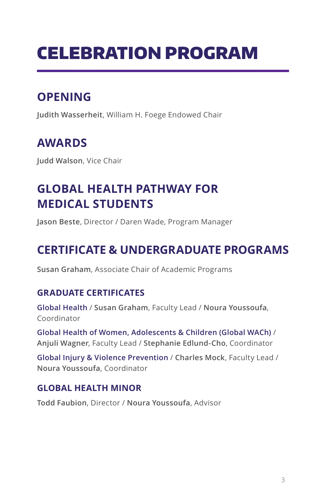# CELEBRATION PROGRAM

# **OPENING**

**Judith Wasserheit**, William H. Foege Endowed Chair

# **AWARDS**

**Judd Walson**, Vice Chair

## **GLOBAL HEALTH PATHWAY FOR MEDICAL STUDENTS**

**Jason Beste**, Director / Daren Wade, Program Manager

# **CERTIFICATE & UNDERGRADUATE PROGRAMS**

**Susan Graham**, Associate Chair of Academic Programs

#### **GRADUATE CERTIFICATES**

**Global Health** / **Susan Graham**, Faculty Lead / **Noura Youssoufa**, Coordinator

**Global Health of Women, Adolescents & Children (Global WACh)** / **Anjuli Wagner**, Faculty Lead / **Stephanie Edlund-Cho**, Coordinator

**Global Injury & Violence Prevention** / **Charles Mock**, Faculty Lead / **Noura Youssoufa**, Coordinator

#### **GLOBAL HEALTH MINOR**

**Todd Faubion**, Director / **Noura Youssoufa**, Advisor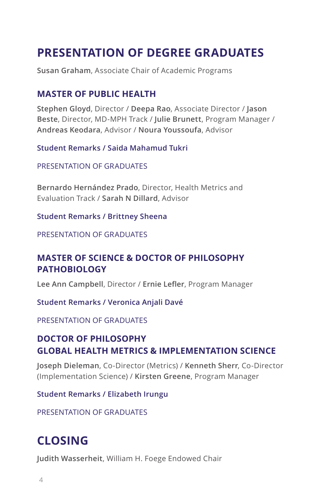## **PRESENTATION OF DEGREE GRADUATES**

**Susan Graham**, Associate Chair of Academic Programs

#### **MASTER OF PUBLIC HEALTH**

**Stephen Gloyd**, Director / **Deepa Rao**, Associate Director / **Jason Beste**, Director, MD-MPH Track / **Julie Brunett**, Program Manager / **Andreas Keodara**, Advisor / **Noura Youssoufa**, Advisor

#### **Student Remarks / Saida Mahamud Tukri**

PRESENTATION OF GRADUATES

**Bernardo Hernández Prado**, Director, Health Metrics and Evaluation Track / **Sarah N Dillard**, Advisor

#### **Student Remarks / Brittney Sheena**

#### PRESENTATION OF GRADUATES

#### **MASTER OF SCIENCE & DOCTOR OF PHILOSOPHY PATHOBIOLOGY**

**Lee Ann Campbell**, Director / **Ernie Lefler**, Program Manager

**Student Remarks / Veronica Anjali Davé**

PRESENTATION OF GRADUATES

#### **DOCTOR OF PHILOSOPHY GLOBAL HEALTH METRICS & IMPLEMENTATION SCIENCE**

**Joseph Dieleman**, Co-Director (Metrics) / **Kenneth Sherr**, Co-Director (Implementation Science) / **Kirsten Greene**, Program Manager

**Student Remarks / Elizabeth Irungu**

PRESENTATION OF GRADUATES

## **CLOSING**

**Judith Wasserheit**, William H. Foege Endowed Chair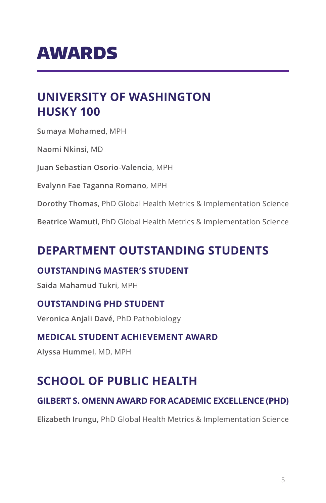# AWARDS

## **UNIVERSITY OF WASHINGTON HUSKY 100**

**Sumaya Mohamed**, MPH

**Naomi Nkinsi**, MD

**Juan Sebastian Osorio-Valencia**, MPH

**Evalynn Fae Taganna Romano**, MPH

**Dorothy Thomas**, PhD Global Health Metrics & Implementation Science

**Beatrice Wamuti**, PhD Global Health Metrics & Implementation Science

## **DEPARTMENT OUTSTANDING STUDENTS**

#### **OUTSTANDING MASTER'S STUDENT**

**Saida Mahamud Tukri**, MPH

#### **OUTSTANDING PHD STUDENT**

**Veronica Anjali Davé,** PhD Pathobiology

#### **MEDICAL STUDENT ACHIEVEMENT AWARD**

**Alyssa Hummel**, MD, MPH

## **SCHOOL OF PUBLIC HEALTH**

#### **GILBERT S. OMENN AWARD FOR ACADEMIC EXCELLENCE (PHD)**

**Elizabeth Irungu,** PhD Global Health Metrics & Implementation Science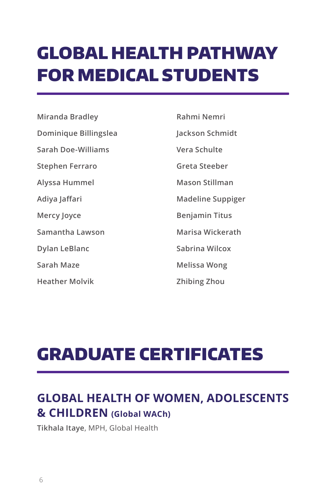# GLOBAL HEALTH PATHWAY FOR MEDICAL STUDENTS

**Miranda Bradley Dominique Billingslea Sarah Doe-Williams Stephen Ferraro Alyssa Hummel Adiya Jaffari Mercy Joyce Samantha Lawson Dylan LeBlanc Sarah Maze**

**Heather Molvik**

**Rahmi Nemri Jackson Schmidt Vera Schulte Greta Steeber Mason Stillman Madeline Suppiger Benjamin Titus Marisa Wickerath Sabrina Wilcox Melissa Wong Zhibing Zhou**

# GRADUATE CERTIFICATES

# **GLOBAL HEALTH OF WOMEN, ADOLESCENTS & CHILDREN (Global WACh)**

**Tikhala Itaye**, MPH, Global Health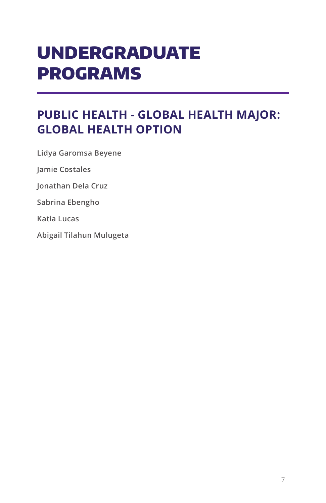# UNDERGRADUATE PROGRAMS

## **PUBLIC HEALTH - GLOBAL HEALTH MAJOR: GLOBAL HEALTH OPTION**

**Lidya Garomsa Beyene**

**Jamie Costales**

**Jonathan Dela Cruz**

**Sabrina Ebengho**

**Katia Lucas**

**Abigail Tilahun Mulugeta**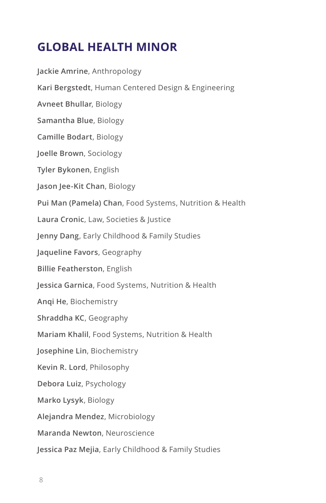## **GLOBAL HEALTH MINOR**

**Jackie Amrine**, Anthropology **Kari Bergstedt**, Human Centered Design & Engineering **Avneet Bhullar**, Biology **Samantha Blue**, Biology **Camille Bodart**, Biology **Joelle Brown**, Sociology **Tyler Bykonen**, English **Jason Jee-Kit Chan**, Biology **Pui Man (Pamela) Chan**, Food Systems, Nutrition & Health **Laura Cronic**, Law, Societies & Justice **Jenny Dang**, Early Childhood & Family Studies **Jaqueline Favors**, Geography **Billie Featherston**, English **Jessica Garnica**, Food Systems, Nutrition & Health **Anqi He**, Biochemistry **Shraddha KC**, Geography **Mariam Khalil**, Food Systems, Nutrition & Health **Josephine Lin**, Biochemistry **Kevin R. Lord**, Philosophy **Debora Luiz**, Psychology **Marko Lysyk**, Biology **Alejandra Mendez**, Microbiology **Maranda Newton**, Neuroscience **Jessica Paz Mejia**, Early Childhood & Family Studies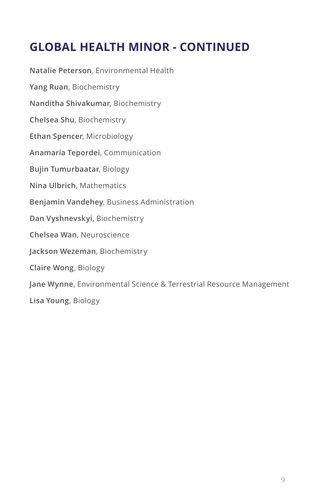## **GLOBAL HEALTH MINOR - CONTINUED**

**Natalie Peterson**, Environmental Health **Yang Ruan**, Biochemistry **Nanditha Shivakumar**, Biochemistry **Chelsea Shu**, Biochemistry **Ethan Spencer**, Microbiology **Anamaria Tepordei**, Communication **Bujin Tumurbaatar**, Biology **Nina Ulbrich**, Mathematics **Benjamin Vandehey**, Business Administration **Dan Vyshnevskyi**, Biochemistry **Chelsea Wan**, Neuroscience **Jackson Wezeman**, Biochemistry **Claire Wong**, Biology **Jane Wynne**, Environmental Science & Terrestrial Resource Management **Lisa Young**, Biology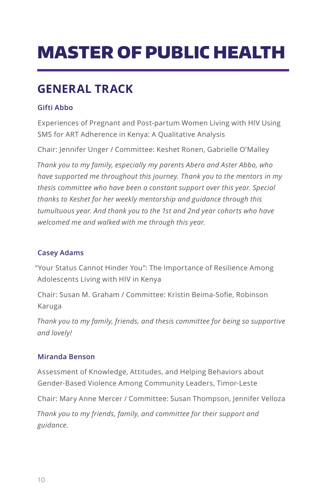# MASTER OF PUBLIC HEALTH

# **GENERAL TRACK**

#### **Gifti Abbo**

Experiences of Pregnant and Post-partum Women Living with HIV Using SMS for ART Adherence in Kenya: A Qualitative Analysis

Chair: Jennifer Unger / Committee: Keshet Ronen, Gabrielle O'Malley

*Thank you to my family, especially my parents Abera and Aster Abbo, who have supported me throughout this journey. Thank you to the mentors in my thesis committee who have been a constant support over this year. Special thanks to Keshet for her weekly mentorship and guidance through this tumultuous year. And thank you to the 1st and 2nd year cohorts who have welcomed me and walked with me through this year.*

#### **Casey Adams**

"Your Status Cannot Hinder You": The Importance of Resilience Among Adolescents Living with HIV in Kenya

Chair: Susan M. Graham / Committee: Kristin Beima-Sofie, Robinson Karuga

*Thank you to my family, friends, and thesis committee for being so supportive and lovely!* 

#### **Miranda Benson**

Assessment of Knowledge, Attitudes, and Helping Behaviors about Gender-Based Violence Among Community Leaders, Timor-Leste

Chair: Mary Anne Mercer / Committee: Susan Thompson, Jennifer Velloza

*Thank you to my friends, family, and committee for their support and guidance.*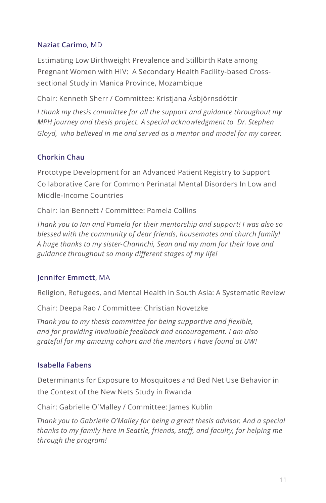#### **Naziat Carimo**, MD

Estimating Low Birthweight Prevalence and Stillbirth Rate among Pregnant Women with HIV: A Secondary Health Facility-based Crosssectional Study in Manica Province, Mozambique

Chair: Kenneth Sherr / Committee: Kristjana Ásbjörnsdóttir

*I thank my thesis committee for all the support and guidance throughout my MPH journey and thesis project. A special acknowledgment to Dr. Stephen Gloyd, who believed in me and served as a mentor and model for my career.* 

#### **Chorkin Chau**

Prototype Development for an Advanced Patient Registry to Support Collaborative Care for Common Perinatal Mental Disorders In Low and Middle-Income Countries

Chair: Ian Bennett / Committee: Pamela Collins

*Thank you to Ian and Pamela for their mentorship and support! I was also so blessed with the community of dear friends, housemates and church family! A huge thanks to my sister-Channchi, Sean and my mom for their love and guidance throughout so many different stages of my life!*

#### **Jennifer Emmett**, MA

Religion, Refugees, and Mental Health in South Asia: A Systematic Review

Chair: Deepa Rao / Committee: Christian Novetzke

*Thank you to my thesis committee for being supportive and flexible, and for providing invaluable feedback and encouragement. I am also grateful for my amazing cohort and the mentors I have found at UW!*

#### **Isabella Fabens**

Determinants for Exposure to Mosquitoes and Bed Net Use Behavior in the Context of the New Nets Study in Rwanda

Chair: Gabrielle O'Malley / Committee: James Kublin

*Thank you to Gabrielle O'Malley for being a great thesis advisor. And a special thanks to my family here in Seattle, friends, staff, and faculty, for helping me through the program!*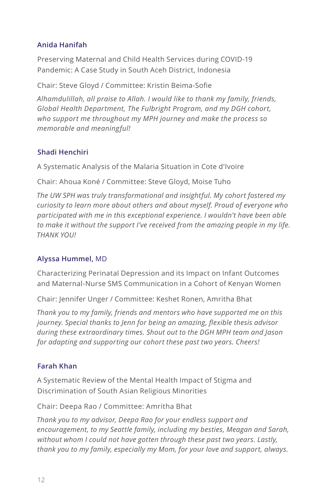#### **Anida Hanifah**

Preserving Maternal and Child Health Services during COVID-19 Pandemic: A Case Study in South Aceh District, Indonesia

Chair: Steve Gloyd / Committee: Kristin Beima-Sofie

*Alhamdulillah, all praise to Allah. I would like to thank my family, friends, Global Health Department, The Fulbright Program, and my DGH cohort, who support me throughout my MPH journey and make the process so memorable and meaningful!*

#### **Shadi Henchiri**

A Systematic Analysis of the Malaria Situation in Cote d'Ivoire

Chair: Ahoua Koné / Committee: Steve Gloyd, Moise Tuho

*The UW SPH was truly transformational and insightful. My cohort fostered my curiosity to learn more about others and about myself. Proud of everyone who participated with me in this exceptional experience. I wouldn't have been able to make it without the support I've received from the amazing people in my life. THANK YOU!*

#### **Alyssa Hummel,** MD

Characterizing Perinatal Depression and its Impact on Infant Outcomes and Maternal-Nurse SMS Communication in a Cohort of Kenyan Women

Chair: Jennifer Unger / Committee: Keshet Ronen, Amritha Bhat

*Thank you to my family, friends and mentors who have supported me on this journey. Special thanks to Jenn for being an amazing, flexible thesis advisor during these extraordinary times. Shout out to the DGH MPH team and Jason for adapting and supporting our cohort these past two years. Cheers!*

#### **Farah Khan**

A Systematic Review of the Mental Health Impact of Stigma and Discrimination of South Asian Religious Minorities

Chair: Deepa Rao / Committee: Amritha Bhat

*Thank you to my advisor, Deepa Rao for your endless support and encouragement, to my Seattle family, including my besties, Meagan and Sarah, without whom I could not have gotten through these past two years. Lastly, thank you to my family, especially my Mom, for your love and support, always.*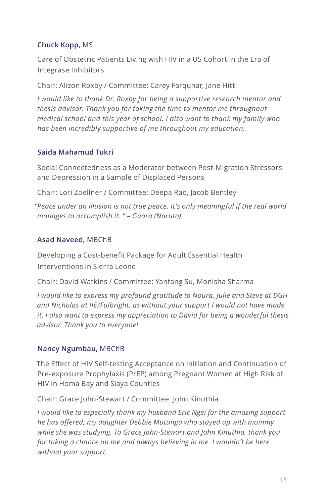#### **Chuck Kopp,** MS

Care of Obstetric Patients Living with HIV in a US Cohort in the Era of Integrase Inhibitors

Chair: Alizon Roxby / Committee: Carey Farquhar, Jane Hitti

*I would like to thank Dr. Roxby for being a supportive research mentor and thesis advisor. Thank you for taking the time to mentor me throughout medical school and this year of school. I also want to thank my family who has been incredibly supportive of me throughout my education.* 

#### **Saida Mahamud Tukri**

Social Connectedness as a Moderator between Post-Migration Stressors and Depression in a Sample of Displaced Persons

Chair: Lori Zoellner / Committee: Deepa Rao, Jacob Bentley

*"Peace under an illusion is not true peace. It's only meaningful if the real world manages to accomplish it. " – Gaara (Naruto)* 

#### **Asad Naveed,** MBChB

Developing a Cost-benefit Package for Adult Essential Health Interventions in Sierra Leone

Chair: David Watkins / Committee: Yanfang Su, Monisha Sharma

*I would like to express my profound gratitude to Noura, Julie and Steve at DGH and Nicholas at IIE/Fulbright, as without your support I would not have made it. I also want to express my appreciation to David for being a wonderful thesis advisor. Thank you to everyone!*

#### **Nancy Ngumbau,** MBChB

The Effect of HIV Self-testing Acceptance on Initiation and Continuation of Pre-exposure Prophylaxis (PrEP) among Pregnant Women at High Risk of HIV in Homa Bay and Siaya Counties

Chair: Grace John-Stewart / Committee: John Kinuthia

*I would like to especially thank my husband Eric Ngei for the amazing support he has offered, my daughter Debbie Mutunga who stayed up with mommy while she was studying. To Grace John-Stewart and John Kinuthia, thank you for taking a chance on me and always believing in me. I wouldn't be here without your support.*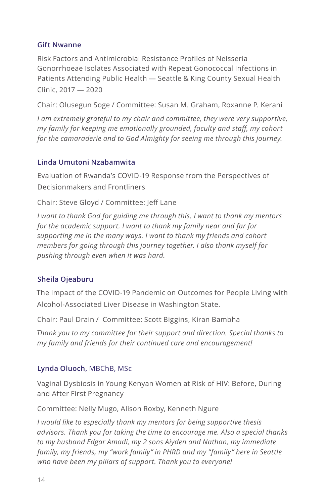#### **Gift Nwanne**

Risk Factors and Antimicrobial Resistance Profiles of Neisseria Gonorrhoeae Isolates Associated with Repeat Gonococcal Infections in Patients Attending Public Health ― Seattle & King County Sexual Health Clinic, 2017 ― 2020

Chair: Olusegun Soge / Committee: Susan M. Graham, Roxanne P. Kerani

*I am extremely grateful to my chair and committee, they were very supportive, my family for keeping me emotionally grounded, faculty and staff, my cohort for the camaraderie and to God Almighty for seeing me through this journey.* 

#### **Linda Umutoni Nzabamwita**

Evaluation of Rwanda's COVID-19 Response from the Perspectives of Decisionmakers and Frontliners

Chair: Steve Gloyd / Committee: Jeff Lane

*I want to thank God for guiding me through this. I want to thank my mentors for the academic support. I want to thank my family near and far for supporting me in the many ways. I want to thank my friends and cohort members for going through this journey together. I also thank myself for pushing through even when it was hard.*

#### **Sheila Ojeaburu**

The Impact of the COVID-19 Pandemic on Outcomes for People Living with Alcohol-Associated Liver Disease in Washington State.

Chair: Paul Drain / Committee: Scott Biggins, Kiran Bambha

*Thank you to my committee for their support and direction. Special thanks to my family and friends for their continued care and encouragement!* 

#### **Lynda Oluoch,** MBChB, MSc

Vaginal Dysbiosis in Young Kenyan Women at Risk of HIV: Before, During and After First Pregnancy

Committee: Nelly Mugo, Alison Roxby, Kenneth Ngure

*I would like to especially thank my mentors for being supportive thesis advisors. Thank you for taking the time to encourage me. Also a special thanks to my husband Edgar Amadi, my 2 sons Aiyden and Nathan, my immediate family, my friends, my "work family" in PHRD and my "family" here in Seattle who have been my pillars of support. Thank you to everyone!*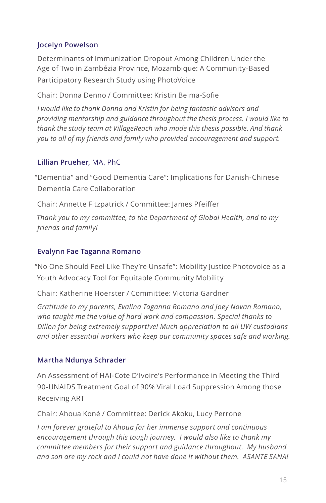#### **Jocelyn Powelson**

Determinants of Immunization Dropout Among Children Under the Age of Two in Zambézia Province, Mozambique: A Community-Based Participatory Research Study using PhotoVoice

Chair: Donna Denno / Committee: Kristin Beima-Sofie

*I would like to thank Donna and Kristin for being fantastic advisors and providing mentorship and guidance throughout the thesis process. I would like to thank the study team at VillageReach who made this thesis possible. And thank you to all of my friends and family who provided encouragement and support.*

#### **Lillian Prueher,** MA, PhC

"Dementia" and "Good Dementia Care": Implications for Danish-Chinese Dementia Care Collaboration

Chair: Annette Fitzpatrick / Committee: James Pfeiffer

*Thank you to my committee, to the Department of Global Health, and to my friends and family!*

#### **Evalynn Fae Taganna Romano**

"No One Should Feel Like They're Unsafe": Mobility Justice Photovoice as a Youth Advocacy Tool for Equitable Community Mobility

Chair: Katherine Hoerster / Committee: Victoria Gardner

*Gratitude to my parents, Evalina Taganna Romano and Joey Novan Romano, who taught me the value of hard work and compassion. Special thanks to Dillon for being extremely supportive! Much appreciation to all UW custodians and other essential workers who keep our community spaces safe and working.*

#### **Martha Ndunya Schrader**

An Assessment of HAI-Cote D'Ivoire's Performance in Meeting the Third 90-UNAIDS Treatment Goal of 90% Viral Load Suppression Among those Receiving ART

Chair: Ahoua Koné / Committee: Derick Akoku, Lucy Perrone

*I am forever grateful to Ahoua for her immense support and continuous encouragement through this tough journey. I would also like to thank my committee members for their support and guidance throughout. My husband and son are my rock and I could not have done it without them. ASANTE SANA!*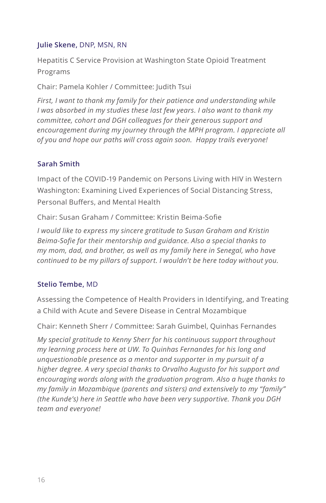#### **Julie Skene,** DNP, MSN, RN

Hepatitis C Service Provision at Washington State Opioid Treatment Programs

Chair: Pamela Kohler / Committee: Judith Tsui

*First, I want to thank my family for their patience and understanding while I was absorbed in my studies these last few years. I also want to thank my committee, cohort and DGH colleagues for their generous support and encouragement during my journey through the MPH program. I appreciate all of you and hope our paths will cross again soon. Happy trails everyone!*

#### **Sarah Smith**

Impact of the COVID-19 Pandemic on Persons Living with HIV in Western Washington: Examining Lived Experiences of Social Distancing Stress, Personal Buffers, and Mental Health

Chair: Susan Graham / Committee: Kristin Beima-Sofie

*I would like to express my sincere gratitude to Susan Graham and Kristin Beima-Sofie for their mentorship and guidance. Also a special thanks to my mom, dad, and brother, as well as my family here in Senegal, who have continued to be my pillars of support. I wouldn't be here today without you.*

#### **Stelio Tembe,** MD

Assessing the Competence of Health Providers in Identifying, and Treating a Child with Acute and Severe Disease in Central Mozambique

Chair: Kenneth Sherr / Committee: Sarah Guimbel, Quinhas Fernandes

*My special gratitude to Kenny Sherr for his continuous support throughout my learning process here at UW. To Quinhas Fernandes for his long and unquestionable presence as a mentor and supporter in my pursuit of a higher degree. A very special thanks to Orvalho Augusto for his support and encouraging words along with the graduation program. Also a huge thanks to my family in Mozambique (parents and sisters) and extensively to my "family" (the Kunde's) here in Seattle who have been very supportive. Thank you DGH team and everyone!*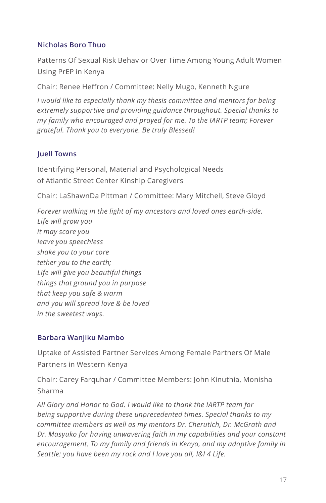#### **Nicholas Boro Thuo**

Patterns Of Sexual Risk Behavior Over Time Among Young Adult Women Using PrEP in Kenya

Chair: Renee Heffron / Committee: Nelly Mugo, Kenneth Ngure

*I would like to especially thank my thesis committee and mentors for being extremely supportive and providing guidance throughout. Special thanks to my family who encouraged and prayed for me. To the IARTP team; Forever grateful. Thank you to everyone. Be truly Blessed!*

#### **Juell Towns**

Identifying Personal, Material and Psychological Needs of Atlantic Street Center Kinship Caregivers

Chair: LaShawnDa Pittman / Committee: Mary Mitchell, Steve Gloyd

*Forever walking in the light of my ancestors and loved ones earth-side. Life will grow you it may scare you leave you speechless shake you to your core tether you to the earth; Life will give you beautiful things things that ground you in purpose that keep you safe & warm and you will spread love & be loved in the sweetest ways.* 

#### **Barbara Wanjiku Mambo**

Uptake of Assisted Partner Services Among Female Partners Of Male Partners in Western Kenya

Chair: Carey Farquhar / Committee Members: John Kinuthia, Monisha Sharma

*All Glory and Honor to God. I would like to thank the IARTP team for being supportive during these unprecedented times. Special thanks to my committee members as well as my mentors Dr. Cherutich, Dr. McGrath and Dr. Masyuko for having unwavering faith in my capabilities and your constant encouragement. To my family and friends in Kenya, and my adoptive family in Seattle: you have been my rock and I love you all, I&I 4 Life.*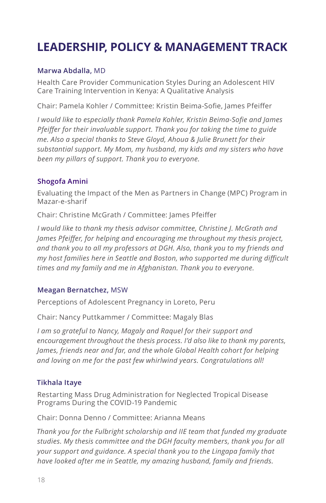# **LEADERSHIP, POLICY & MANAGEMENT TRACK**

#### **Marwa Abdalla,** MD

Health Care Provider Communication Styles During an Adolescent HIV Care Training Intervention in Kenya: A Qualitative Analysis

Chair: Pamela Kohler / Committee: Kristin Beima-Sofie, James Pfeiffer

*I would like to especially thank Pamela Kohler, Kristin Beima-Sofie and James Pfeiffer for their invaluable support. Thank you for taking the time to guide me. Also a special thanks to Steve Gloyd, Ahoua & Julie Brunett for their substantial support. My Mom, my husband, my kids and my sisters who have been my pillars of support. Thank you to everyone.*

#### **Shogofa Amini**

Evaluating the Impact of the Men as Partners in Change (MPC) Program in Mazar-e-sharif

Chair: Christine McGrath / Committee: James Pfeiffer

*I would like to thank my thesis advisor committee, Christine J. McGrath and James Pfeiffer, for helping and encouraging me throughout my thesis project, and thank you to all my professors at DGH. Also, thank you to my friends and my host families here in Seattle and Boston, who supported me during difficult times and my family and me in Afghanistan. Thank you to everyone.* 

#### **Meagan Bernatchez,** MSW

Perceptions of Adolescent Pregnancy in Loreto, Peru

Chair: Nancy Puttkammer / Committee: Magaly Blas

*I am so grateful to Nancy, Magaly and Raquel for their support and encouragement throughout the thesis process. I'd also like to thank my parents, James, friends near and far, and the whole Global Health cohort for helping and loving on me for the past few whirlwind years. Congratulations all!* 

#### **Tikhala Itaye**

Restarting Mass Drug Administration for Neglected Tropical Disease Programs During the COVID-19 Pandemic

Chair: Donna Denno / Committee: Arianna Means

*Thank you for the Fulbright scholarship and IIE team that funded my graduate studies. My thesis committee and the DGH faculty members, thank you for all your support and guidance. A special thank you to the Lingapa family that have looked after me in Seattle, my amazing husband, family and friends.*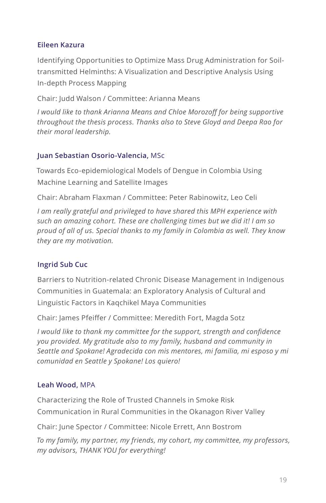#### **Eileen Kazura**

Identifying Opportunities to Optimize Mass Drug Administration for Soiltransmitted Helminths: A Visualization and Descriptive Analysis Using In-depth Process Mapping

Chair: Judd Walson / Committee: Arianna Means

*I would like to thank Arianna Means and Chloe Morozoff for being supportive throughout the thesis process. Thanks also to Steve Gloyd and Deepa Rao for their moral leadership.* 

#### **Juan Sebastian Osorio-Valencia,** MSc

Towards Eco-epidemiological Models of Dengue in Colombia Using Machine Learning and Satellite Images

Chair: Abraham Flaxman / Committee: Peter Rabinowitz, Leo Celi

*I am really grateful and privileged to have shared this MPH experience with such an amazing cohort. These are challenging times but we did it! I am so proud of all of us. Special thanks to my family in Colombia as well. They know they are my motivation.*

#### **Ingrid Sub Cuc**

Barriers to Nutrition-related Chronic Disease Management in Indigenous Communities in Guatemala: an Exploratory Analysis of Cultural and Linguistic Factors in Kaqchikel Maya Communities

Chair: James Pfeiffer / Committee: Meredith Fort, Magda Sotz

*I would like to thank my committee for the support, strength and confidence you provided. My gratitude also to my family, husband and community in Seattle and Spokane! Agradecida con mis mentores, mi familia, mi esposo y mi comunidad en Seattle y Spokane! Los quiero!* 

#### **Leah Wood,** MPA

Characterizing the Role of Trusted Channels in Smoke Risk Communication in Rural Communities in the Okanagon River Valley

Chair: June Spector / Committee: Nicole Errett, Ann Bostrom

*To my family, my partner, my friends, my cohort, my committee, my professors, my advisors, THANK YOU for everything!*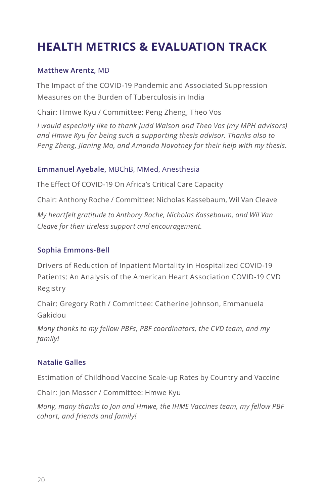# **HEALTH METRICS & EVALUATION TRACK**

#### **Matthew Arentz,** MD

The Impact of the COVID-19 Pandemic and Associated Suppression Measures on the Burden of Tuberculosis in India

Chair: Hmwe Kyu / Committee: Peng Zheng, Theo Vos

*I would especially like to thank Judd Walson and Theo Vos (my MPH advisors) and Hmwe Kyu for being such a supporting thesis advisor. Thanks also to Peng Zheng, Jianing Ma, and Amanda Novotney for their help with my thesis.*

#### **Emmanuel Ayebale,** MBChB, MMed, Anesthesia

The Effect Of COVID-19 On Africa's Critical Care Capacity

Chair: Anthony Roche / Committee: Nicholas Kassebaum, Wil Van Cleave

*My heartfelt gratitude to Anthony Roche, Nicholas Kassebaum, and Wil Van Cleave for their tireless support and encouragement.*

#### **Sophia Emmons-Bell**

Drivers of Reduction of Inpatient Mortality in Hospitalized COVID-19 Patients: An Analysis of the American Heart Association COVID-19 CVD Registry

Chair: Gregory Roth / Committee: Catherine Johnson, Emmanuela Gakidou

*Many thanks to my fellow PBFs, PBF coordinators, the CVD team, and my family!*

#### **Natalie Galles**

Estimation of Childhood Vaccine Scale-up Rates by Country and Vaccine

Chair: Jon Mosser / Committee: Hmwe Kyu

*Many, many thanks to Jon and Hmwe, the IHME Vaccines team, my fellow PBF cohort, and friends and family!*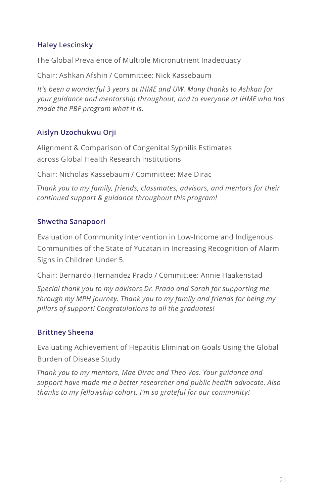#### **Haley Lescinsky**

The Global Prevalence of Multiple Micronutrient Inadequacy

Chair: Ashkan Afshin / Committee: Nick Kassebaum

*It's been a wonderful 3 years at IHME and UW. Many thanks to Ashkan for your guidance and mentorship throughout, and to everyone at IHME who has made the PBF program what it is.*

#### **Aislyn Uzochukwu Orji**

Alignment & Comparison of Congenital Syphilis Estimates across Global Health Research Institutions

Chair: Nicholas Kassebaum / Committee: Mae Dirac

*Thank you to my family, friends, classmates, advisors, and mentors for their continued support & guidance throughout this program!*

#### **Shwetha Sanapoori**

Evaluation of Community Intervention in Low-Income and Indigenous Communities of the State of Yucatan in Increasing Recognition of Alarm Signs in Children Under 5.

Chair: Bernardo Hernandez Prado / Committee: Annie Haakenstad

*Special thank you to my advisors Dr. Prado and Sarah for supporting me through my MPH journey. Thank you to my family and friends for being my pillars of support! Congratulations to all the graduates!* 

#### **Brittney Sheena**

Evaluating Achievement of Hepatitis Elimination Goals Using the Global Burden of Disease Study

*Thank you to my mentors, Mae Dirac and Theo Vos. Your guidance and support have made me a better researcher and public health advocate. Also thanks to my fellowship cohort, I'm so grateful for our community!*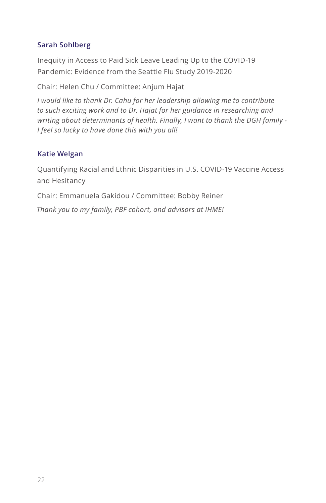#### **Sarah Sohlberg**

Inequity in Access to Paid Sick Leave Leading Up to the COVID-19 Pandemic: Evidence from the Seattle Flu Study 2019-2020

Chair: Helen Chu / Committee: Anjum Hajat

*I would like to thank Dr. Cahu for her leadership allowing me to contribute to such exciting work and to Dr. Hajat for her guidance in researching and writing about determinants of health. Finally, I want to thank the DGH family - I feel so lucky to have done this with you all!* 

#### **Katie Welgan**

Quantifying Racial and Ethnic Disparities in U.S. COVID-19 Vaccine Access and Hesitancy

Chair: Emmanuela Gakidou / Committee: Bobby Reiner

*Thank you to my family, PBF cohort, and advisors at IHME!*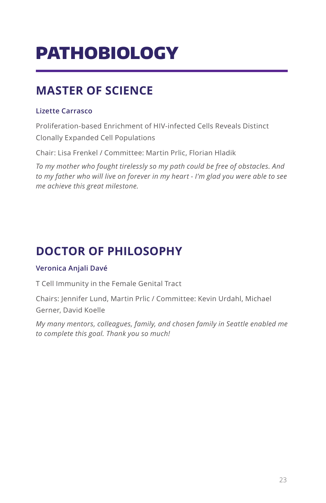# PATHOBIOLOGY

# **MASTER OF SCIENCE**

#### **Lizette Carrasco**

Proliferation-based Enrichment of HIV-infected Cells Reveals Distinct Clonally Expanded Cell Populations

Chair: Lisa Frenkel / Committee: Martin Prlic, Florian Hladik

*To my mother who fought tirelessly so my path could be free of obstacles. And to my father who will live on forever in my heart - I'm glad you were able to see me achieve this great milestone.*

# **DOCTOR OF PHILOSOPHY**

#### **Veronica Anjali Davé**

T Cell Immunity in the Female Genital Tract

Chairs: Jennifer Lund, Martin Prlic / Committee: Kevin Urdahl, Michael Gerner, David Koelle

*My many mentors, colleagues, family, and chosen family in Seattle enabled me to complete this goal. Thank you so much!*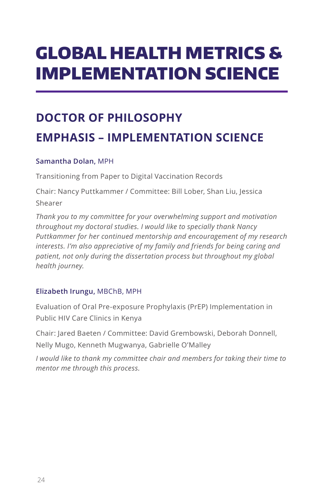# GLOBAL HEALTH METRICS & IMPLEMENTATION SCIENCE

# **DOCTOR OF PHILOSOPHY EMPHASIS – IMPLEMENTATION SCIENCE**

#### **Samantha Dolan,** MPH

Transitioning from Paper to Digital Vaccination Records

Chair: Nancy Puttkammer / Committee: Bill Lober, Shan Liu, Jessica Shearer

*Thank you to my committee for your overwhelming support and motivation throughout my doctoral studies. I would like to specially thank Nancy Puttkammer for her continued mentorship and encouragement of my research interests. I'm also appreciative of my family and friends for being caring and patient, not only during the dissertation process but throughout my global health journey.*

#### **Elizabeth Irungu,** MBChB, MPH

Evaluation of Oral Pre-exposure Prophylaxis (PrEP) Implementation in Public HIV Care Clinics in Kenya

Chair: Jared Baeten / Committee: David Grembowski, Deborah Donnell, Nelly Mugo, Kenneth Mugwanya, Gabrielle O'Malley

*I would like to thank my committee chair and members for taking their time to mentor me through this process.*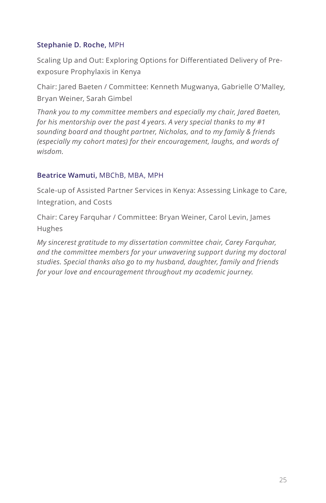#### **Stephanie D. Roche,** MPH

Scaling Up and Out: Exploring Options for Differentiated Delivery of Preexposure Prophylaxis in Kenya

Chair: Jared Baeten / Committee: Kenneth Mugwanya, Gabrielle O'Malley, Bryan Weiner, Sarah Gimbel

*Thank you to my committee members and especially my chair, Jared Baeten, for his mentorship over the past 4 years. A very special thanks to my #1 sounding board and thought partner, Nicholas, and to my family & friends (especially my cohort mates) for their encouragement, laughs, and words of wisdom.*

#### **Beatrice Wamuti,** MBChB, MBA, MPH

Scale-up of Assisted Partner Services in Kenya: Assessing Linkage to Care, Integration, and Costs

Chair: Carey Farquhar / Committee: Bryan Weiner, Carol Levin, James Hughes

*My sincerest gratitude to my dissertation committee chair, Carey Farquhar, and the committee members for your unwavering support during my doctoral studies. Special thanks also go to my husband, daughter, family and friends for your love and encouragement throughout my academic journey.*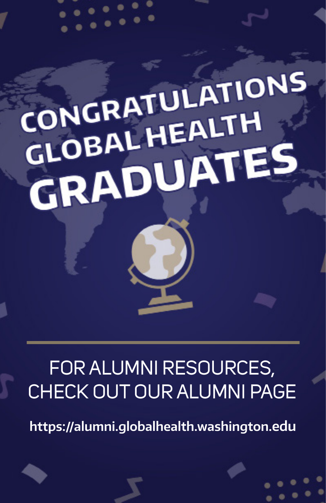# CONGRATULATIONS CONGRATULIH GLOBAL HEALTES

# FOR ALUMNI RESOURCES, CHECK OUT OUR ALUMNI PAGE

**https://alumni.globalhealth.washington.edu**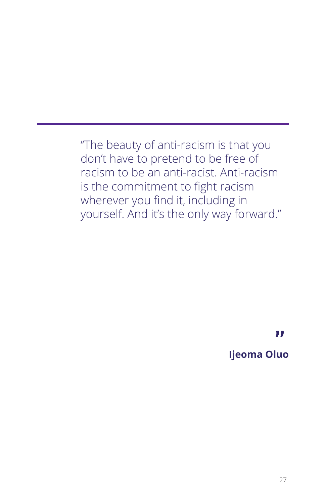"The beauty of anti-racism is that you don't have to pretend to be free of racism to be an anti-racist. Anti-racism is the commitment to fight racism wherever you find it, including in yourself. And it's the only way forward."

> **" Ijeoma Oluo**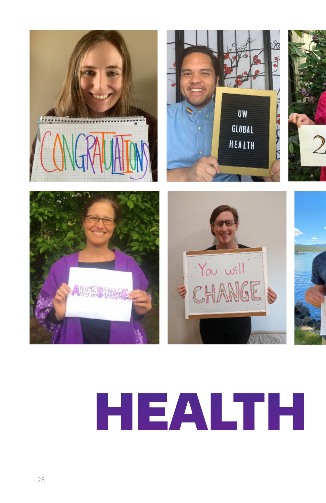









# HEALTH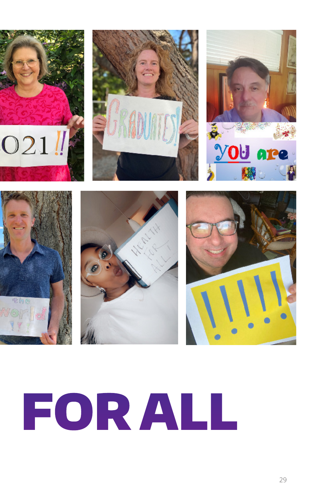











# HEALTH FOR ALL